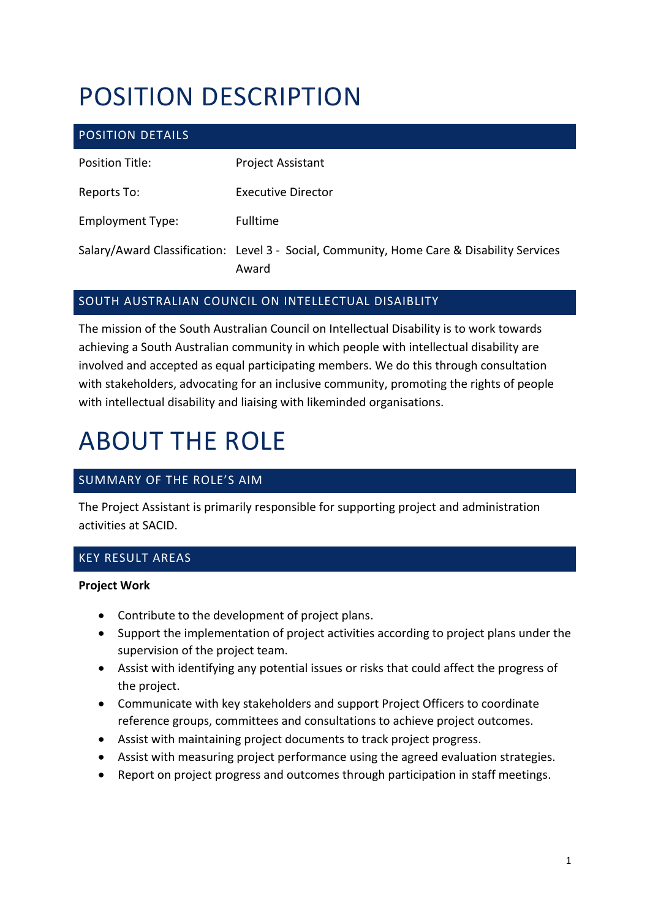# POSITION DESCRIPTION

| <b>POSITION DETAILS</b> |                                                                                                    |
|-------------------------|----------------------------------------------------------------------------------------------------|
| Position Title:         | <b>Project Assistant</b>                                                                           |
| Reports To:             | Executive Director                                                                                 |
| <b>Employment Type:</b> | <b>Fulltime</b>                                                                                    |
|                         | Salary/Award Classification: Level 3 - Social, Community, Home Care & Disability Services<br>Award |

#### SOUTH AUSTRALIAN COUNCIL ON INTELLECTUAL DISAIBLITY

The mission of the South Australian Council on Intellectual Disability is to work towards achieving a South Australian community in which people with intellectual disability are involved and accepted as equal participating members. We do this through consultation with stakeholders, advocating for an inclusive community, promoting the rights of people with intellectual disability and liaising with likeminded organisations.

# ABOUT THE ROLE

### SUMMARY OF THE ROLE'S AIM

The Project Assistant is primarily responsible for supporting project and administration activities at SACID.

### KEY RESULT AREAS

#### **Project Work**

- Contribute to the development of project plans.
- Support the implementation of project activities according to project plans under the supervision of the project team.
- Assist with identifying any potential issues or risks that could affect the progress of the project.
- Communicate with key stakeholders and support Project Officers to coordinate reference groups, committees and consultations to achieve project outcomes.
- Assist with maintaining project documents to track project progress.
- Assist with measuring project performance using the agreed evaluation strategies.
- Report on project progress and outcomes through participation in staff meetings.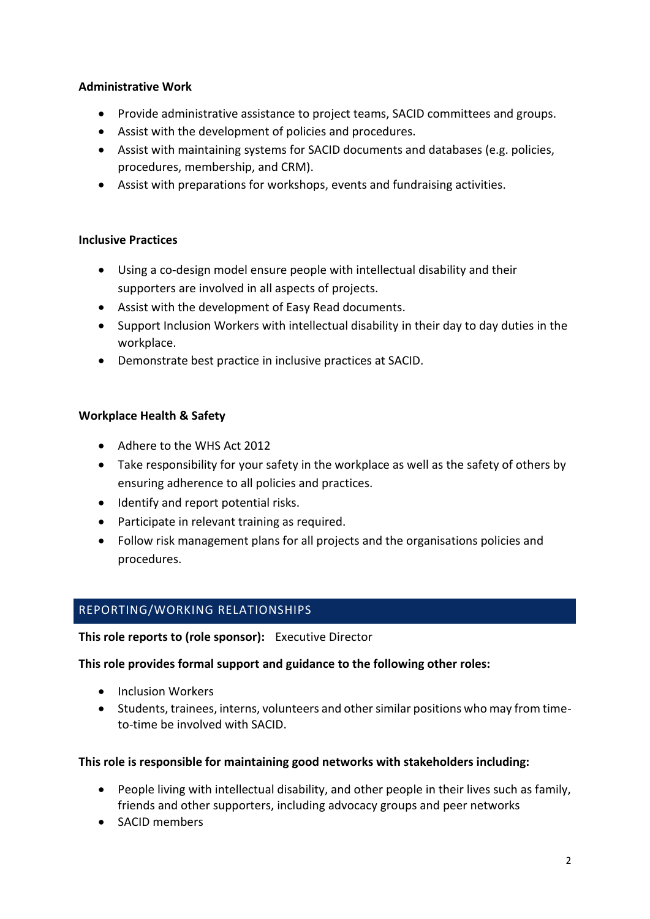#### **Administrative Work**

- Provide administrative assistance to project teams, SACID committees and groups.
- Assist with the development of policies and procedures.
- Assist with maintaining systems for SACID documents and databases (e.g. policies, procedures, membership, and CRM).
- Assist with preparations for workshops, events and fundraising activities.

#### **Inclusive Practices**

- Using a co-design model ensure people with intellectual disability and their supporters are involved in all aspects of projects.
- Assist with the development of Easy Read documents.
- Support Inclusion Workers with intellectual disability in their day to day duties in the workplace.
- Demonstrate best practice in inclusive practices at SACID.

#### **Workplace Health & Safety**

- Adhere to the WHS Act 2012
- Take responsibility for your safety in the workplace as well as the safety of others by ensuring adherence to all policies and practices.
- Identify and report potential risks.
- Participate in relevant training as required.
- Follow risk management plans for all projects and the organisations policies and procedures.

#### REPORTING/WORKING RELATIONSHIPS

**This role reports to (role sponsor):** Executive Director

#### **This role provides formal support and guidance to the following other roles:**

- Inclusion Workers
- Students, trainees, interns, volunteers and other similar positions who may from timeto-time be involved with SACID.

#### **This role is responsible for maintaining good networks with stakeholders including:**

- People living with intellectual disability, and other people in their lives such as family, friends and other supporters, including advocacy groups and peer networks
- SACID members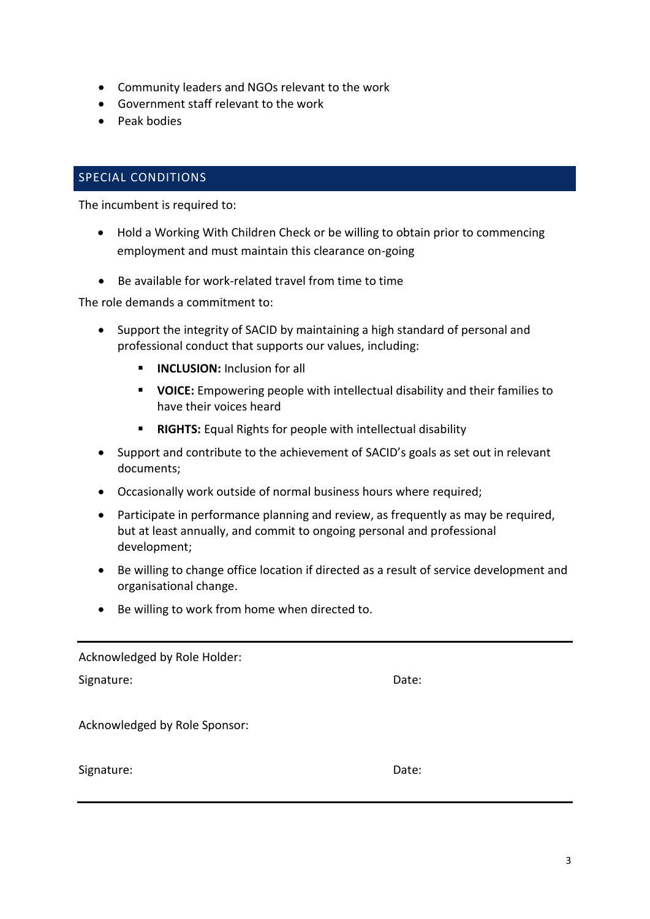- Community leaders and NGOs relevant to the work
- Government staff relevant to the work
- Peak bodies

#### SPECIAL CONDITIONS

The incumbent is required to:

- Hold a Working With Children Check or be willing to obtain prior to commencing employment and must maintain this clearance on-going
- Be available for work-related travel from time to time

The role demands a commitment to:

- Support the integrity of SACID by maintaining a high standard of personal and professional conduct that supports our values, including:
	- **<u>■ INCLUSION: Inclusion for all</u>**
	- **VOICE:** Empowering people with intellectual disability and their families to have their voices heard
	- **RIGHTS:** Equal Rights for people with intellectual disability
- Support and contribute to the achievement of SACID's goals as set out in relevant documents;
- Occasionally work outside of normal business hours where required;
- Participate in performance planning and review, as frequently as may be required, but at least annually, and commit to ongoing personal and professional development;
- Be willing to change office location if directed as a result of service development and organisational change.
- Be willing to work from home when directed to.

Acknowledged by Role Holder:

Signature: Date: Date: Date: Date: Date: Date: Date: Date: Date: Date: Date: Date: Date: Date: Date: Date: Date: Date: Date: Date: Date: Date: Date: Date: Date: Date: Date: Date: Date: Date: Date: Date: Date: Date: Date: D

Acknowledged by Role Sponsor:

Signature: Date: Date: Date: Date: Date: Date: Date: Date: Date: Date: Date: Date: Date: Date: Date: Date: Date: Date: Date: Date: Date: Date: Date: Date: Date: Date: Date: Date: Date: Date: Date: Date: Date: Date: Date: D